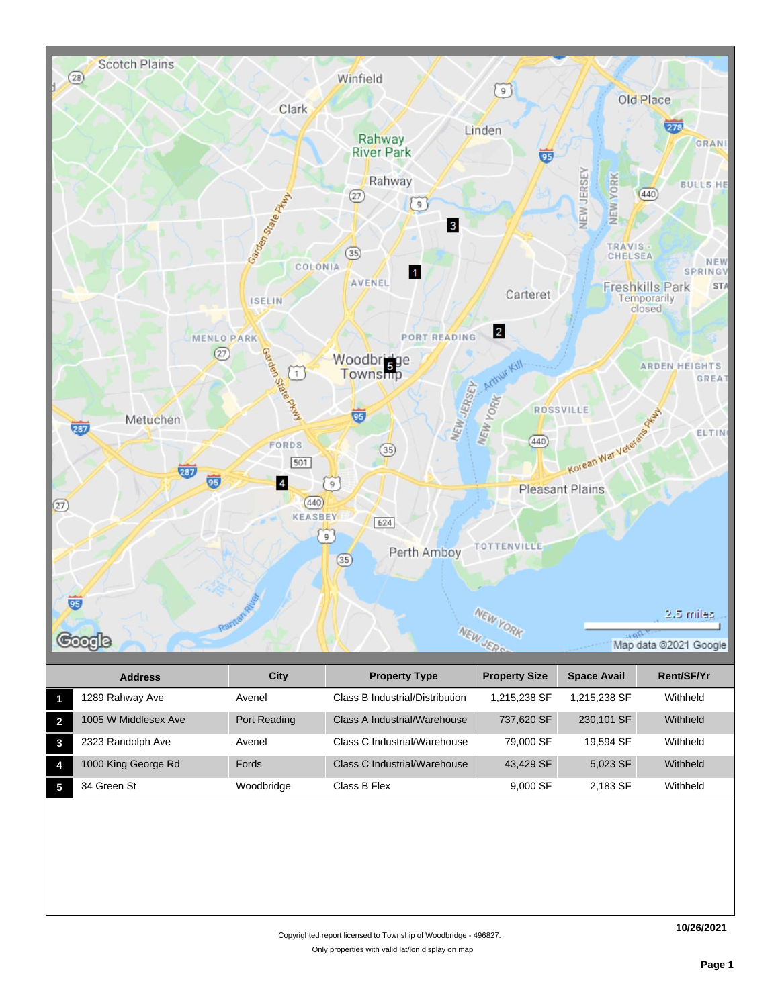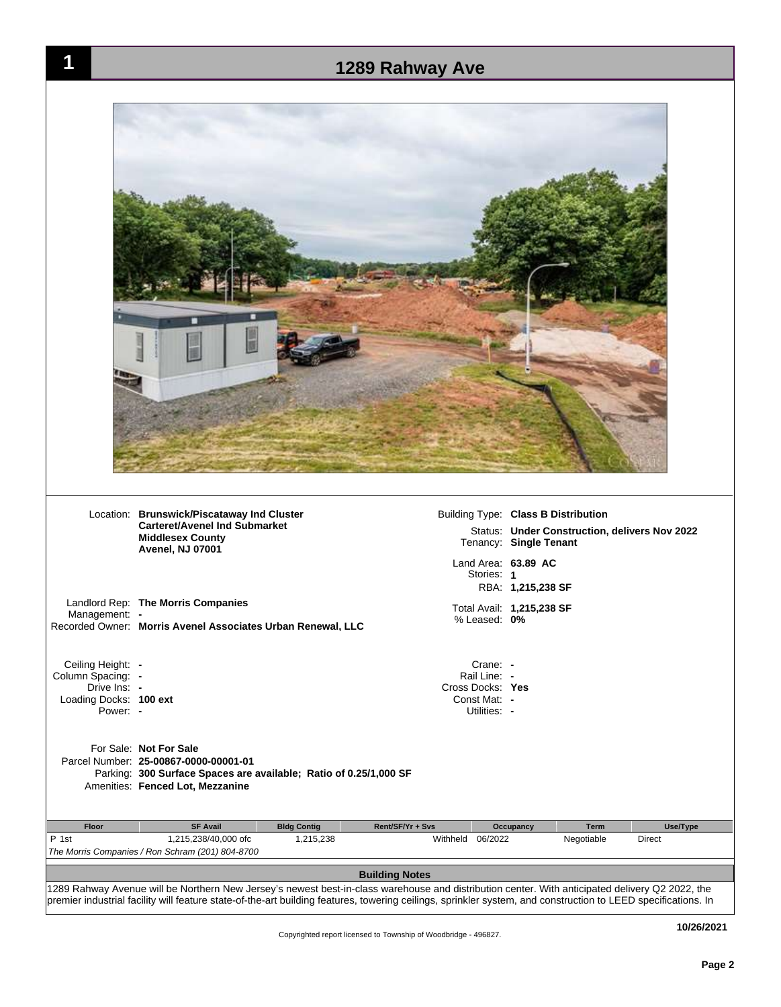| 1                                  |                                                                                                                                                                          |                    | 1289 Rahway Ave                   |                                                                         |          |
|------------------------------------|--------------------------------------------------------------------------------------------------------------------------------------------------------------------------|--------------------|-----------------------------------|-------------------------------------------------------------------------|----------|
|                                    |                                                                                                                                                                          |                    |                                   |                                                                         |          |
|                                    |                                                                                                                                                                          |                    |                                   |                                                                         |          |
|                                    |                                                                                                                                                                          |                    |                                   |                                                                         |          |
|                                    |                                                                                                                                                                          |                    |                                   |                                                                         |          |
|                                    |                                                                                                                                                                          |                    |                                   |                                                                         |          |
|                                    |                                                                                                                                                                          |                    |                                   |                                                                         |          |
|                                    |                                                                                                                                                                          |                    |                                   |                                                                         |          |
|                                    |                                                                                                                                                                          |                    |                                   |                                                                         |          |
|                                    |                                                                                                                                                                          |                    |                                   |                                                                         |          |
|                                    |                                                                                                                                                                          |                    |                                   |                                                                         |          |
|                                    | Location: Brunswick/Piscataway Ind Cluster                                                                                                                               |                    |                                   | Building Type: Class B Distribution                                     |          |
|                                    | <b>Carteret/Avenel Ind Submarket</b><br><b>Middlesex County</b><br>Avenel, NJ 07001                                                                                      |                    |                                   | Status: Under Construction, delivers Nov 2022<br>Tenancy: Single Tenant |          |
|                                    |                                                                                                                                                                          |                    | Land Area: 63.89 AC<br>Stories: 1 |                                                                         |          |
|                                    |                                                                                                                                                                          |                    |                                   | RBA: 1,215,238 SF                                                       |          |
| Management: -                      | Landlord Rep: The Morris Companies<br>Recorded Owner: Morris Avenel Associates Urban Renewal, LLC                                                                        |                    | % Leased: 0%                      | Total Avail: 1,215,238 SF                                               |          |
| Ceiling Height: -                  |                                                                                                                                                                          |                    | Crane: -                          |                                                                         |          |
| Column Spacing: -<br>Drive Ins: -  |                                                                                                                                                                          |                    | Rail Line: -<br>Cross Docks: Yes  |                                                                         |          |
| Loading Docks: 100 ext<br>Power: - |                                                                                                                                                                          |                    | Const Mat: -<br>Utilities: -      |                                                                         |          |
|                                    | For Sale: Not For Sale<br>Parcel Number: 25-00867-0000-00001-01<br>Parking: 300 Surface Spaces are available; Ratio of 0.25/1,000 SF<br>Amenities: Fenced Lot, Mezzanine |                    |                                   |                                                                         |          |
|                                    | <b>SF Avail</b>                                                                                                                                                          | <b>Bldg Contig</b> | Rent/SF/Yr + Svs                  | <b>Term</b><br>Occupancy                                                | Use/Type |
| Floor                              |                                                                                                                                                                          | 1,215,238          | Withheld<br>06/2022               | Negotiable                                                              | Direct   |
|                                    | 1,215,238/40,000 ofc                                                                                                                                                     |                    |                                   |                                                                         |          |
| P 1st                              | The Morris Companies / Ron Schram (201) 804-8700                                                                                                                         |                    | <b>Building Notes</b>             |                                                                         |          |

**10/26/2021**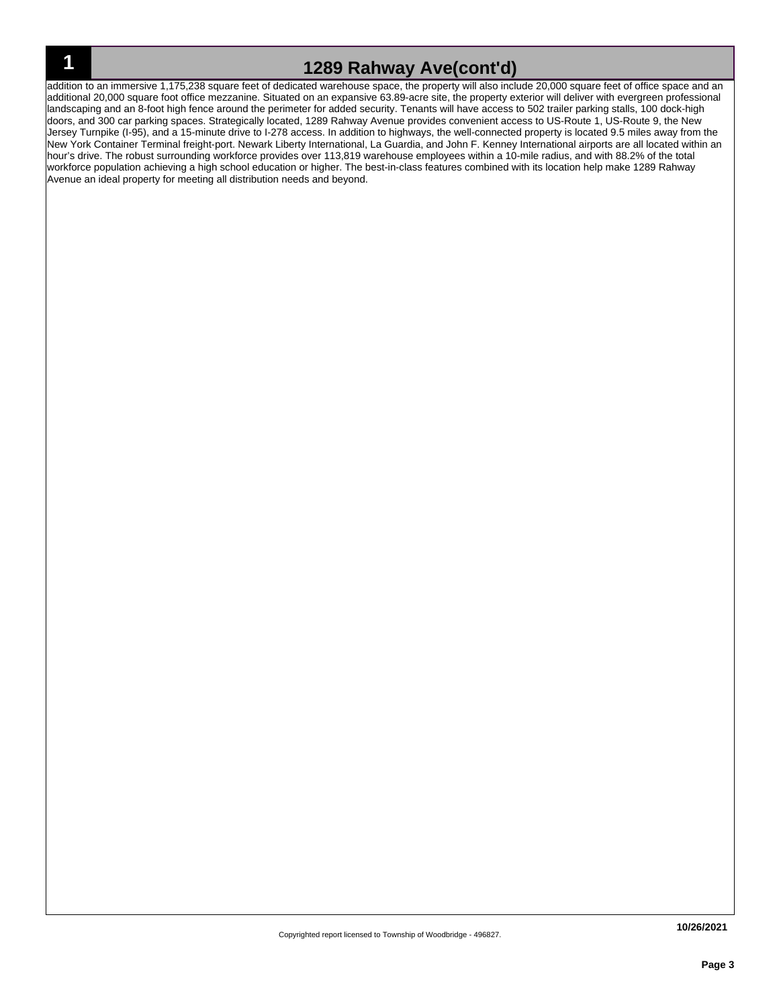## **1 1289 Rahway Ave(cont'd)**

addition to an immersive 1,175,238 square feet of dedicated warehouse space, the property will also include 20,000 square feet of office space and an additional 20,000 square foot office mezzanine. Situated on an expansive 63.89-acre site, the property exterior will deliver with evergreen professional landscaping and an 8-foot high fence around the perimeter for added security. Tenants will have access to 502 trailer parking stalls, 100 dock-high doors, and 300 car parking spaces. Strategically located, 1289 Rahway Avenue provides convenient access to US-Route 1, US-Route 9, the New Jersey Turnpike (I-95), and a 15-minute drive to I-278 access. In addition to highways, the well-connected property is located 9.5 miles away from the New York Container Terminal freight-port. Newark Liberty International, La Guardia, and John F. Kenney International airports are all located within an hour's drive. The robust surrounding workforce provides over 113,819 warehouse employees within a 10-mile radius, and with 88.2% of the total workforce population achieving a high school education or higher. The best-in-class features combined with its location help make 1289 Rahway Avenue an ideal property for meeting all distribution needs and beyond.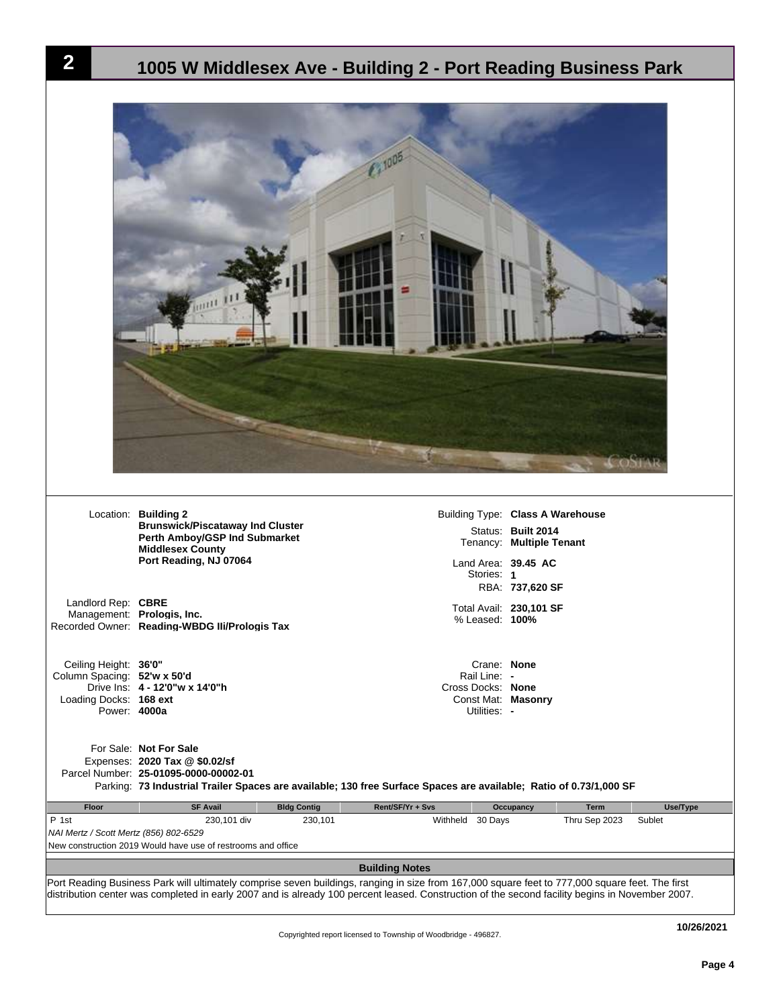|                                                                                                | Location: Building 2<br><b>Brunswick/Piscataway Ind Cluster</b><br>Perth Amboy/GSP Ind Submarket<br><b>Middlesex County</b><br>Port Reading, NJ 07064 | Land Area: 39.45 AC                                                                                                | Building Type: Class A Warehouse<br>Status: Built 2014<br>Tenancy: Multiple Tenant |
|------------------------------------------------------------------------------------------------|-------------------------------------------------------------------------------------------------------------------------------------------------------|--------------------------------------------------------------------------------------------------------------------|------------------------------------------------------------------------------------|
|                                                                                                |                                                                                                                                                       | Stories: 1                                                                                                         | RBA: 737,620 SF                                                                    |
| Landlord Rep: CBRE                                                                             | Management: Prologis, Inc.<br>Recorded Owner: Reading-WBDG Ili/Prologis Tax                                                                           | % Leased: 100%                                                                                                     | Total Avail: 230,101 SF                                                            |
| Ceiling Height: 36'0"<br>Column Spacing: 52'w x 50'd<br>Loading Docks: 168 ext<br>Power: 4000a | Drive Ins: 4 - 12'0"w x 14'0"h                                                                                                                        | Crane: None<br>Rail Line: -<br>Cross Docks: None<br>Const Mat: Masonry<br>Utilities: -                             |                                                                                    |
|                                                                                                | For Sale: Not For Sale<br>Expenses: 2020 Tax @ \$0.02/sf<br>Parcel Number: 25-01095-0000-00002-01                                                     | Parking: 73 Industrial Trailer Spaces are available; 130 free Surface Spaces are available; Ratio of 0.73/1,000 SF |                                                                                    |
| Floor                                                                                          | <b>SF Avail</b>                                                                                                                                       | <b>Bldg Contig</b><br>Rent/SF/Yr + Svs                                                                             | Use/Type<br>Occupancy<br><b>Term</b>                                               |
| P 1st<br>NAI Mertz / Scott Mertz (856) 802-6529                                                | 230,101 div<br>New construction 2019 Would have use of restrooms and office                                                                           | 230,101<br>Withheld 30 Days                                                                                        | Thru Sep 2023<br>Sublet                                                            |

**Page 4**

**2 1005 W Middlesex Ave - Building 2 - Port Reading Business Park**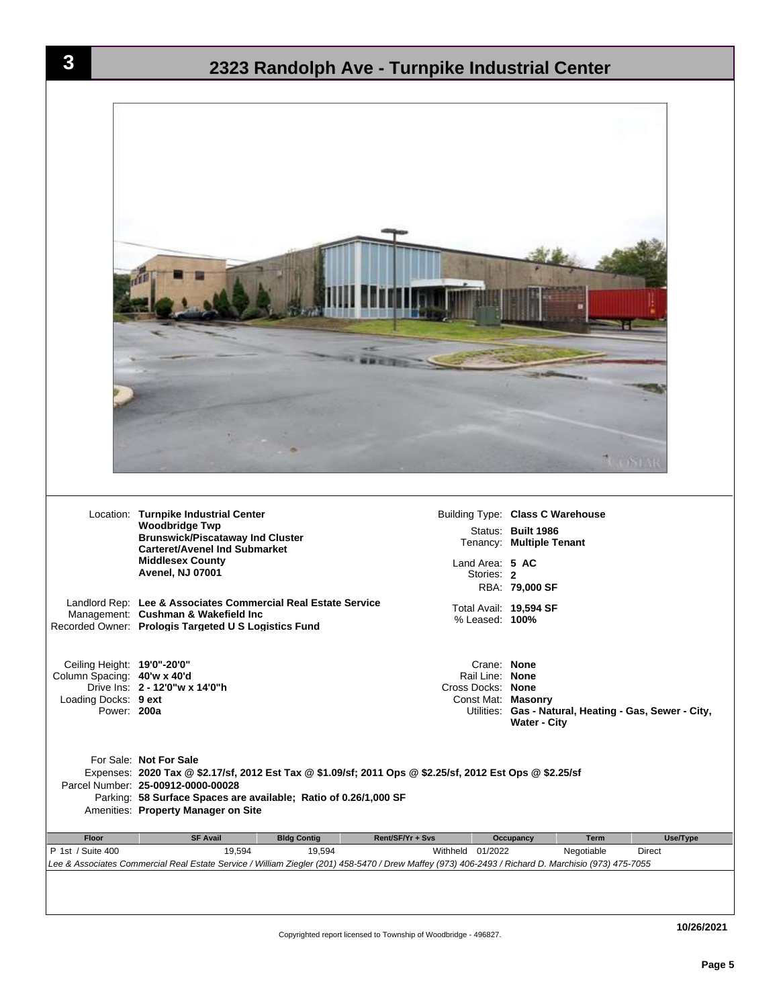| 3                                                                                                 | 2323 Randolph Ave - Turnpike Industrial Center                                                                                                                                                                                                                                      |                                                                                             |                                                                                                      |
|---------------------------------------------------------------------------------------------------|-------------------------------------------------------------------------------------------------------------------------------------------------------------------------------------------------------------------------------------------------------------------------------------|---------------------------------------------------------------------------------------------|------------------------------------------------------------------------------------------------------|
|                                                                                                   |                                                                                                                                                                                                                                                                                     |                                                                                             |                                                                                                      |
|                                                                                                   |                                                                                                                                                                                                                                                                                     |                                                                                             |                                                                                                      |
|                                                                                                   | Location: Turnpike Industrial Center<br><b>Woodbridge Twp</b><br><b>Brunswick/Piscataway Ind Cluster</b><br><b>Carteret/Avenel Ind Submarket</b><br><b>Middlesex County</b><br>Avenel, NJ 07001<br>Landlord Rep: Lee & Associates Commercial Real Estate Service                    | Land Area: 5 AC<br>Stories: 2<br>Total Avail: 19,594 SF                                     | Building Type: Class C Warehouse<br>Status: Built 1986<br>Tenancy: Multiple Tenant<br>RBA: 79,000 SF |
| Ceiling Height: 19'0"-20'0"<br>Column Spacing: 40'w x 40'd<br>Loading Docks: 9 ext<br>Power: 200a | Management: Cushman & Wakefield Inc<br>Recorded Owner: Prologis Targeted U S Logistics Fund<br>Drive Ins: 2 - 12'0"w x 14'0"h                                                                                                                                                       | % Leased: 100%<br>Crane: None<br>Rail Line: None<br>Cross Docks: None<br>Const Mat: Masonry | Utilities: Gas - Natural, Heating - Gas, Sewer - City,<br><b>Water - City</b>                        |
|                                                                                                   | For Sale: Not For Sale<br>Expenses: 2020 Tax @ \$2.17/sf, 2012 Est Tax @ \$1.09/sf; 2011 Ops @ \$2.25/sf, 2012 Est Ops @ \$2.25/sf<br>Parcel Number: 25-00912-0000-00028<br>Parking: 58 Surface Spaces are available; Ratio of 0.26/1,000 SF<br>Amenities: Property Manager on Site |                                                                                             |                                                                                                      |
| Floor                                                                                             | <b>SF Avail</b><br><b>Bldg Contig</b>                                                                                                                                                                                                                                               | Rent/SF/Yr + Svs                                                                            | Occupancy<br>Term<br>Use/Type                                                                        |
| P 1st / Suite 400                                                                                 | 19,594<br>19,594<br>Lee & Associates Commercial Real Estate Service / William Ziegler (201) 458-5470 / Drew Maffey (973) 406-2493 / Richard D. Marchisio (973) 475-7055                                                                                                             | Withheld 01/2022                                                                            | Negotiable<br>Direct                                                                                 |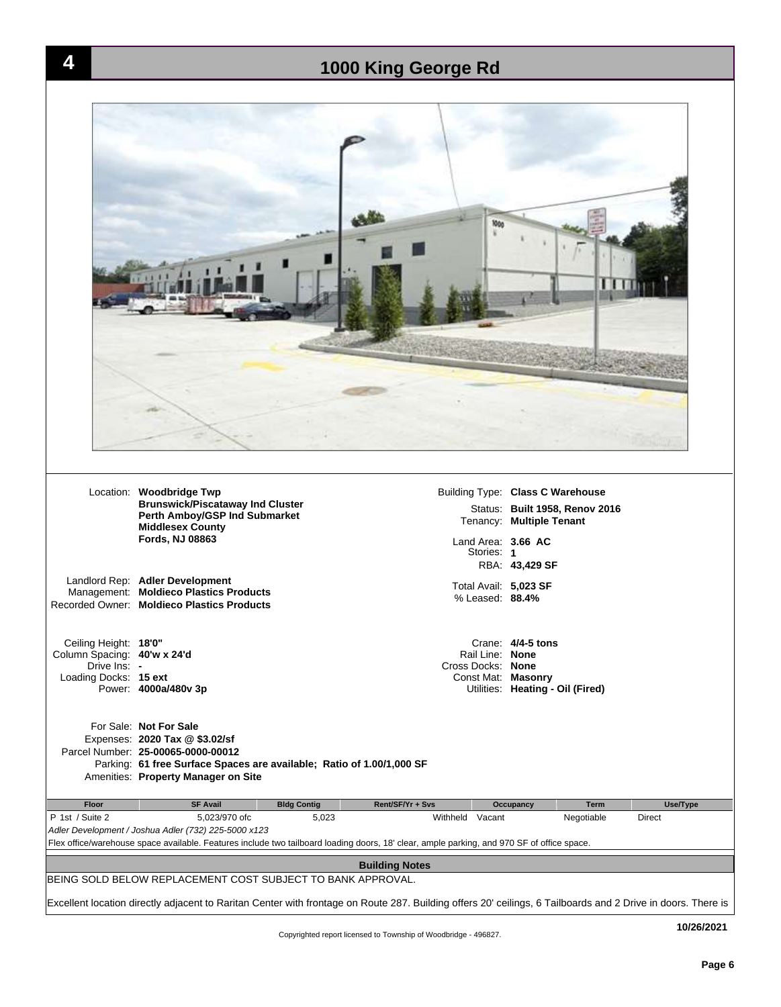

**Page 6**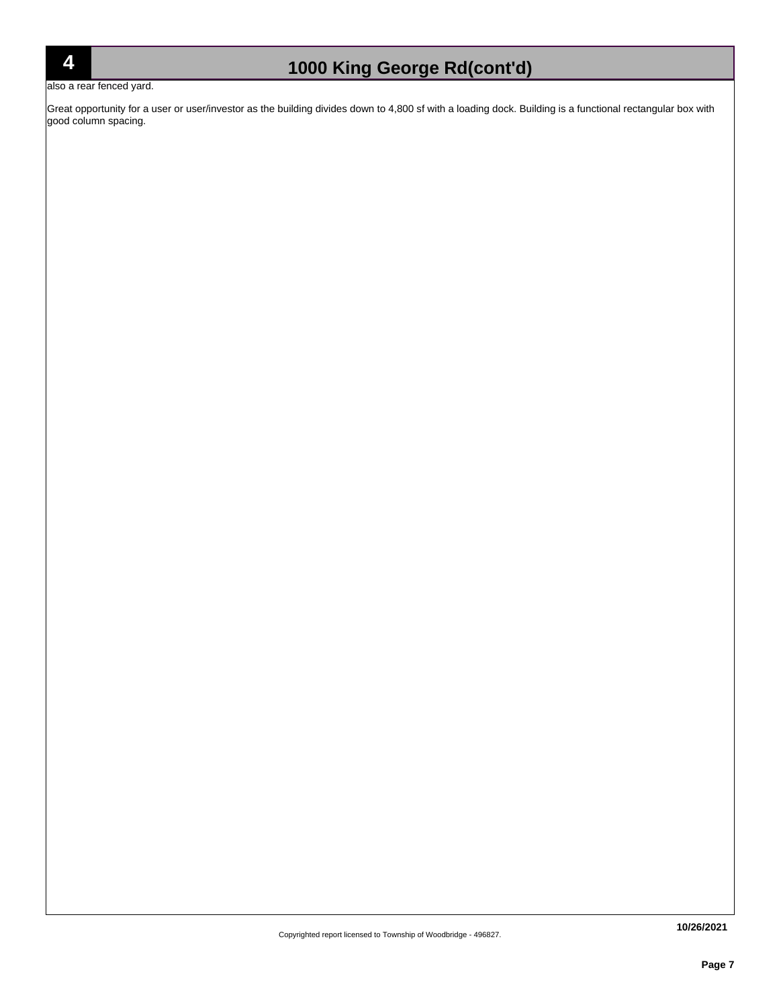## **4 1000 King George Rd(cont'd)**

also a rear fenced yard.

Great opportunity for a user or user/investor as the building divides down to 4,800 sf with a loading dock. Building is a functional rectangular box with good column spacing.